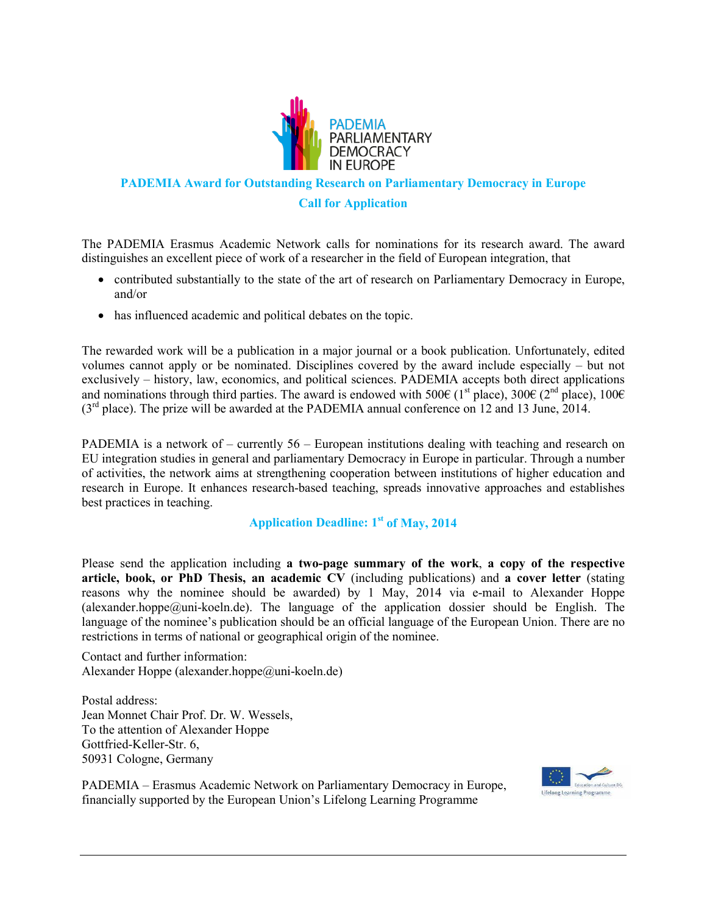

### **PADEMIA Award for Outstanding Research on Parliamentary Democracy in Europe**

### **Call for Application**

The PADEMIA Erasmus Academic Network calls for nominations for its research award. The award distinguishes an excellent piece of work of a researcher in the field of European integration, that

- contributed substantially to the state of the art of research on Parliamentary Democracy in Europe, and/or
- has influenced academic and political debates on the topic.

The rewarded work will be a publication in a major journal or a book publication. Unfortunately, edited volumes cannot apply or be nominated. Disciplines covered by the award include especially – but not exclusively – history, law, economics, and political sciences. PADEMIA accepts both direct applications and nominations through third parties. The award is endowed with 500€ (1<sup>st</sup> place), 300€ (2<sup>nd</sup> place), 100€ (3rd place). The prize will be awarded at the PADEMIA annual conference on 12 and 13 June, 2014.

PADEMIA is a network of – currently 56 – European institutions dealing with teaching and research on EU integration studies in general and parliamentary Democracy in Europe in particular. Through a number of activities, the network aims at strengthening cooperation between institutions of higher education and research in Europe. It enhances research-based teaching, spreads innovative approaches and establishes best practices in teaching.

## **Application Deadline: 1st of May, 2014**

Please send the application including **a two-page summary of the work**, **a copy of the respective article, book, or PhD Thesis, an academic CV** (including publications) and **a cover letter** (stating reasons why the nominee should be awarded) by 1 May, 2014 via e-mail to Alexander Hoppe (alexander.hoppe@uni-koeln.de). The language of the application dossier should be English. The language of the nominee's publication should be an official language of the European Union. There are no restrictions in terms of national or geographical origin of the nominee.

Contact and further information: Alexander Hoppe (alexander.hoppe@uni-koeln.de)

Postal address: Jean Monnet Chair Prof. Dr. W. Wessels, To the attention of Alexander Hoppe Gottfried-Keller-Str. 6, 50931 Cologne, Germany

PADEMIA – Erasmus Academic Network on Parliamentary Democracy in Europe, financially supported by the European Union's Lifelong Learning Programme

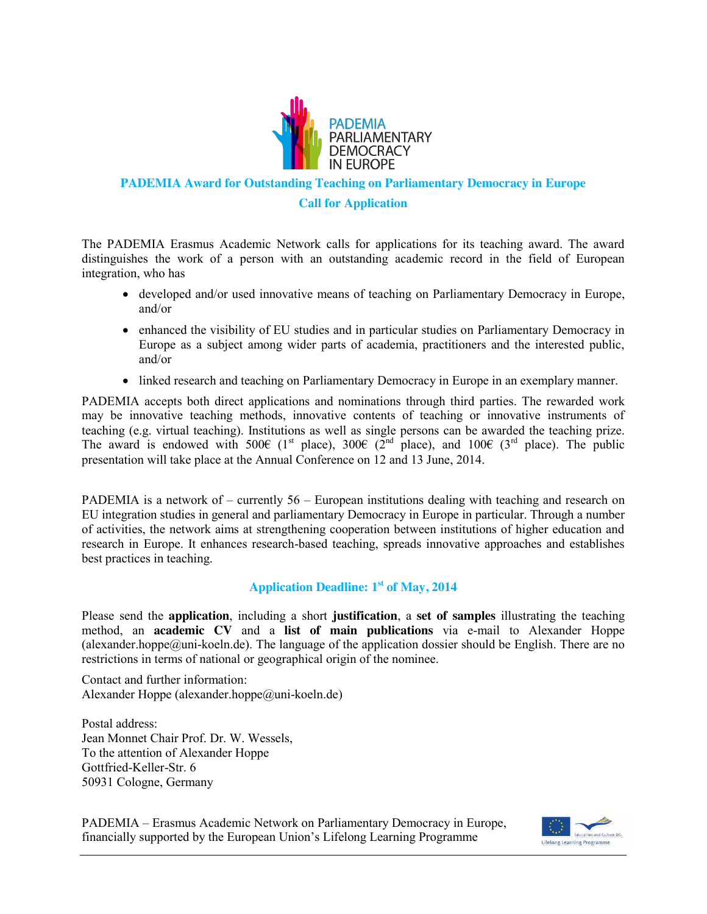

### **PADEMIA Award for Outstanding Teaching on Parliamentary Democracy in Europe**

### **Call for Application**

The PADEMIA Erasmus Academic Network calls for applications for its teaching award. The award distinguishes the work of a person with an outstanding academic record in the field of European integration, who has

- developed and/or used innovative means of teaching on Parliamentary Democracy in Europe, and/or
- enhanced the visibility of EU studies and in particular studies on Parliamentary Democracy in Europe as a subject among wider parts of academia, practitioners and the interested public, and/or
- linked research and teaching on Parliamentary Democracy in Europe in an exemplary manner.

PADEMIA accepts both direct applications and nominations through third parties. The rewarded work may be innovative teaching methods, innovative contents of teaching or innovative instruments of teaching (e.g. virtual teaching). Institutions as well as single persons can be awarded the teaching prize. The award is endowed with 500€ (1<sup>st</sup> place), 300€ (2<sup>nd</sup> place), and 100€ (3<sup>rd</sup> place). The public presentation will take place at the Annual Conference on 12 and 13 June, 2014.

PADEMIA is a network of – currently 56 – European institutions dealing with teaching and research on EU integration studies in general and parliamentary Democracy in Europe in particular. Through a number of activities, the network aims at strengthening cooperation between institutions of higher education and research in Europe. It enhances research-based teaching, spreads innovative approaches and establishes best practices in teaching.

# **Application Deadline: 1st of May, 2014**

Please send the **application**, including a short **justification**, a **set of samples** illustrating the teaching method, an **academic CV** and a **list of main publications** via e-mail to Alexander Hoppe (alexander.hoppe $@$ uni-koeln.de). The language of the application dossier should be English. There are no restrictions in terms of national or geographical origin of the nominee.

Contact and further information: Alexander Hoppe (alexander.hoppe@uni-koeln.de)

Postal address: Jean Monnet Chair Prof. Dr. W. Wessels, To the attention of Alexander Hoppe Gottfried-Keller-Str. 6 50931 Cologne, Germany

PADEMIA – Erasmus Academic Network on Parliamentary Democracy in Europe, financially supported by the European Union's Lifelong Learning Programme

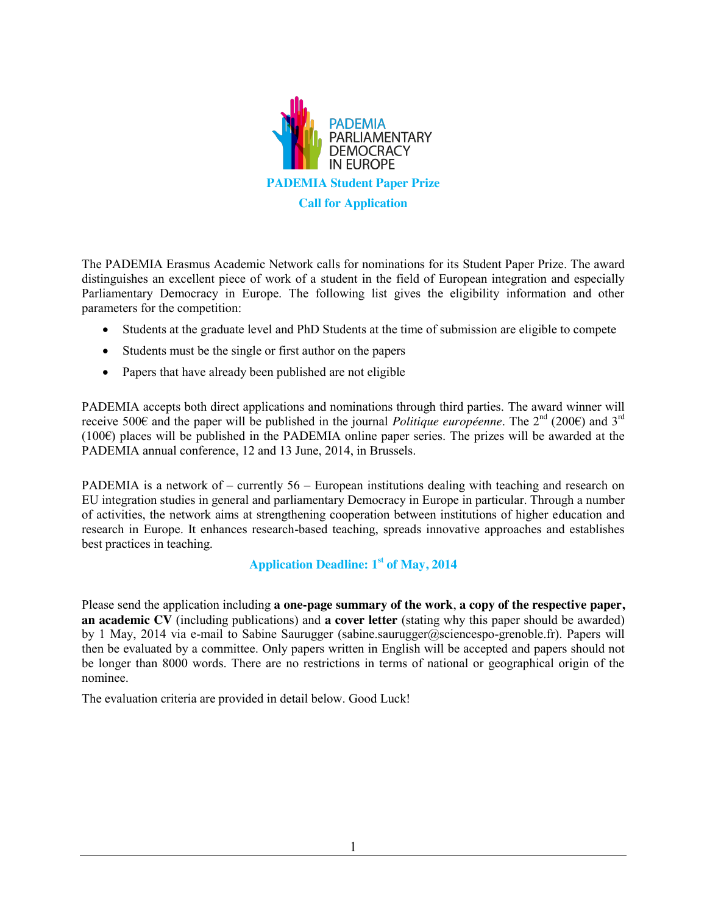

The PADEMIA Erasmus Academic Network calls for nominations for its Student Paper Prize. The award distinguishes an excellent piece of work of a student in the field of European integration and especially Parliamentary Democracy in Europe. The following list gives the eligibility information and other parameters for the competition:

- x Students at the graduate level and PhD Students at the time of submission are eligible to compete
- Students must be the single or first author on the papers
- Papers that have already been published are not eligible

PADEMIA accepts both direct applications and nominations through third parties. The award winner will receive 500€ and the paper will be published in the journal *Politique européenne*. The 2<sup>nd</sup> (200€) and 3<sup>rd</sup> (100€) places will be published in the PADEMIA online paper series. The prizes will be awarded at the PADEMIA annual conference, 12 and 13 June, 2014, in Brussels.

PADEMIA is a network of – currently 56 – European institutions dealing with teaching and research on EU integration studies in general and parliamentary Democracy in Europe in particular. Through a number of activities, the network aims at strengthening cooperation between institutions of higher education and research in Europe. It enhances research-based teaching, spreads innovative approaches and establishes best practices in teaching.

# Application Deadline: 1<sup>st</sup> of May, 2014

Please send the application including **a one-page summary of the work**, **a copy of the respective paper, an academic CV** (including publications) and **a cover letter** (stating why this paper should be awarded) by 1 May, 2014 via e-mail to Sabine Saurugger (sabine.saurugger@sciencespo-grenoble.fr). Papers will then be evaluated by a committee. Only papers written in English will be accepted and papers should not be longer than 8000 words. There are no restrictions in terms of national or geographical origin of the nominee.

The evaluation criteria are provided in detail below. Good Luck!